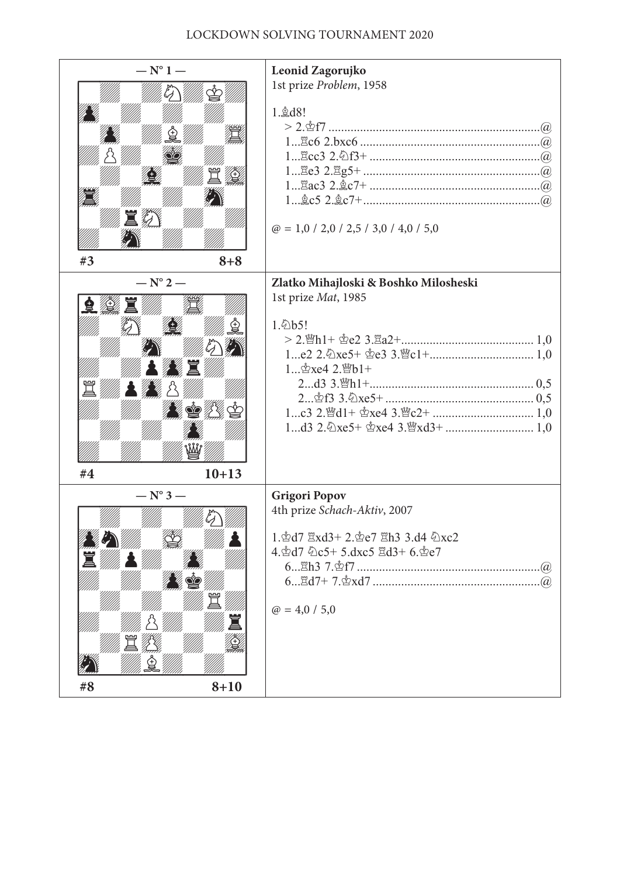## Lockdown solving tournament 2020

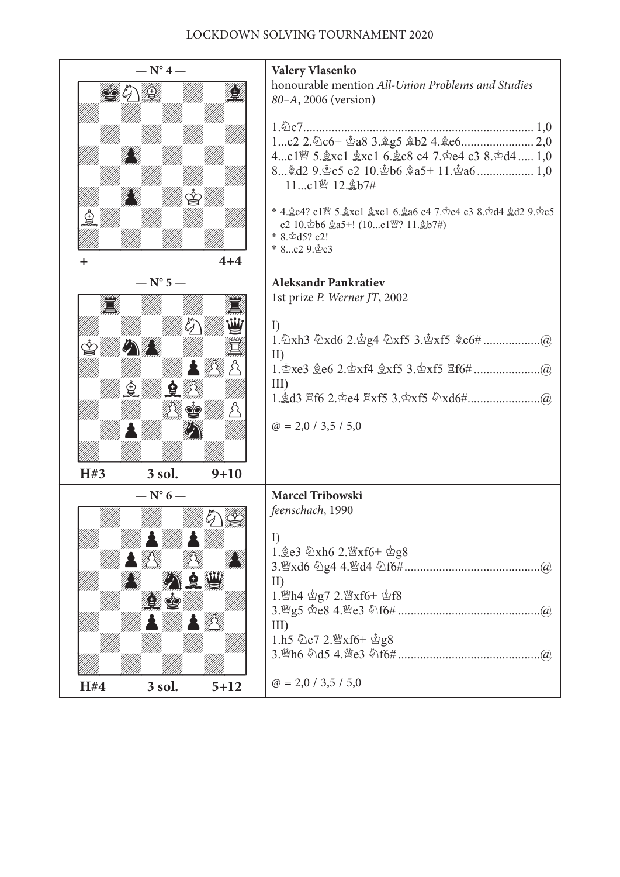## Lockdown solving tournament 2020

| $-\mathrm{N}^{\circ}$ 4 —                   |          | <b>Valery Vlasenko</b>                                                                                                                                                                                                                |
|---------------------------------------------|----------|---------------------------------------------------------------------------------------------------------------------------------------------------------------------------------------------------------------------------------------|
|                                             |          | honourable mention All-Union Problems and Studies<br>80-A, 2006 (version)                                                                                                                                                             |
|                                             |          |                                                                                                                                                                                                                                       |
|                                             |          | 4c1 $\mathbb{S}$ 5. gxc1 gxc1 6. gc8 c4 7. ge4 c3 8. gd4  1,0<br>11c1曾 12. b7#                                                                                                                                                        |
|                                             |          | * 4. gc4? c1 lg 5. gxc1 gxc1 6. ga6 c4 7. ge4 c3 8. gd4 gd2 9. gc5<br>c2 10. gb6 $\&a5+$ ! (10c1曾? 11. $\&b7$ #)<br>* 8. d3? c2!<br>* 8c2 9. c3                                                                                       |
|                                             | $4 + 4$  |                                                                                                                                                                                                                                       |
| $- N^{\circ} 5 -$                           |          | <b>Aleksandr Pankratiev</b><br>1st prize P. Werner JT, 2002                                                                                                                                                                           |
| $\mathcal{L}(\mathcal{L})$                  |          | I)<br>$\mathbf{I}$<br>III)<br>$\omega$ = 2,0 / 3,5 / 5,0                                                                                                                                                                              |
| H#3<br>3 sol.                               | $9 + 10$ |                                                                                                                                                                                                                                       |
| $- N^{\circ} 6 -$<br>ymu yyu<br>!!: William |          | <b>Marcel Tribowski</b><br>feenschach, 1990<br>$\Gamma$<br>1. e3 $\&$ xh6 2. $\&$ xf6+ $\&$ g8<br>(a)<br>$\rm{II}$<br>1. Min4 g7 2. Maxf6+ gf8<br>(a)<br>III)<br>1.h5 $\&e7$ 2. $\&x$ f6+ $\&g8$<br>(a)<br>$\omega$ = 2,0 / 3,5 / 5,0 |
| H#4<br>3 sol.                               | $5 + 12$ |                                                                                                                                                                                                                                       |